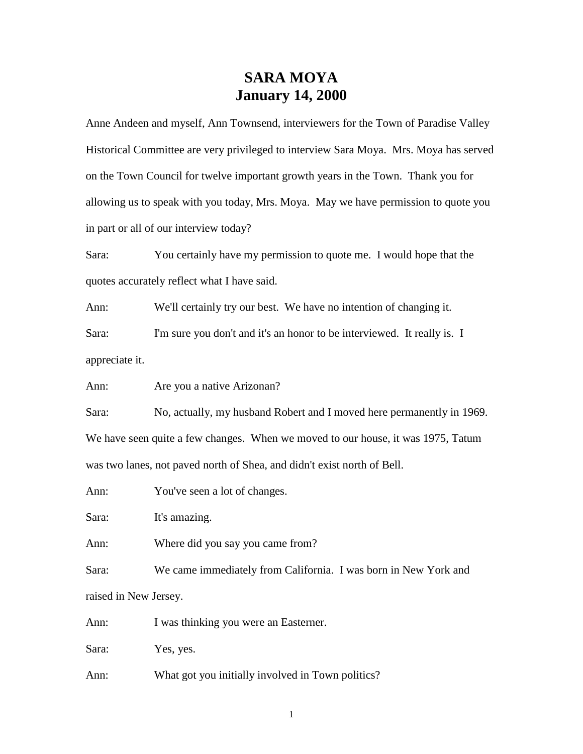## **SARA MOYA January 14, 2000**

Anne Andeen and myself, Ann Townsend, interviewers for the Town of Paradise Valley Historical Committee are very privileged to interview Sara Moya. Mrs. Moya has served on the Town Council for twelve important growth years in the Town. Thank you for allowing us to speak with you today, Mrs. Moya. May we have permission to quote you in part or all of our interview today?

Sara: You certainly have my permission to quote me. I would hope that the quotes accurately reflect what I have said.

Ann: We'll certainly try our best. We have no intention of changing it.

Sara: I'm sure you don't and it's an honor to be interviewed. It really is. I appreciate it.

Ann: Are you a native Arizonan?

Sara: No, actually, my husband Robert and I moved here permanently in 1969. We have seen quite a few changes. When we moved to our house, it was 1975, Tatum was two lanes, not paved north of Shea, and didn't exist north of Bell.

Ann: You've seen a lot of changes.

Sara: It's amazing.

Ann: Where did you say you came from?

Sara: We came immediately from California. I was born in New York and raised in New Jersey.

Ann: I was thinking you were an Easterner.

Sara: Yes, yes.

Ann: What got you initially involved in Town politics?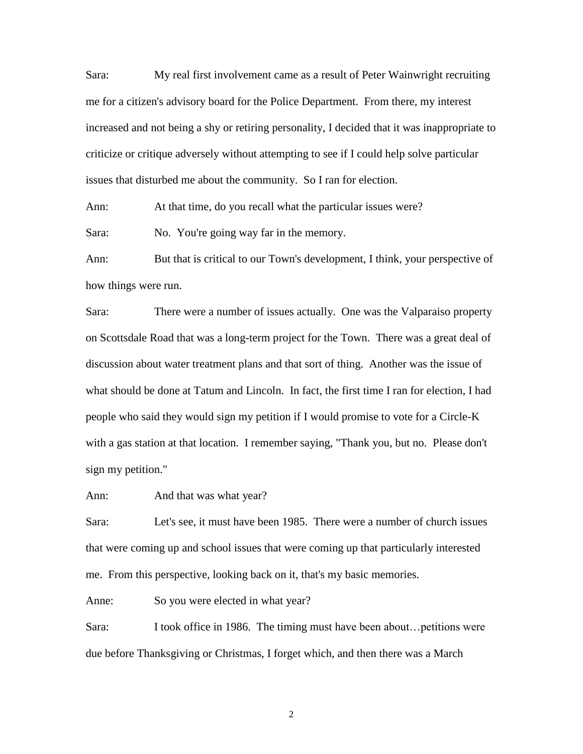Sara: My real first involvement came as a result of Peter Wainwright recruiting me for a citizen's advisory board for the Police Department. From there, my interest increased and not being a shy or retiring personality, I decided that it was inappropriate to criticize or critique adversely without attempting to see if I could help solve particular issues that disturbed me about the community. So I ran for election.

Ann: At that time, do you recall what the particular issues were? Sara: No. You're going way far in the memory.

Ann: But that is critical to our Town's development, I think, your perspective of how things were run.

Sara: There were a number of issues actually. One was the Valparaiso property on Scottsdale Road that was a long-term project for the Town. There was a great deal of discussion about water treatment plans and that sort of thing. Another was the issue of what should be done at Tatum and Lincoln. In fact, the first time I ran for election, I had people who said they would sign my petition if I would promise to vote for a Circle-K with a gas station at that location. I remember saying, "Thank you, but no. Please don't sign my petition."

Ann: And that was what year?

Sara: Let's see, it must have been 1985. There were a number of church issues that were coming up and school issues that were coming up that particularly interested me. From this perspective, looking back on it, that's my basic memories.

Anne: So you were elected in what year?

Sara: I took office in 1986. The timing must have been about... petitions were due before Thanksgiving or Christmas, I forget which, and then there was a March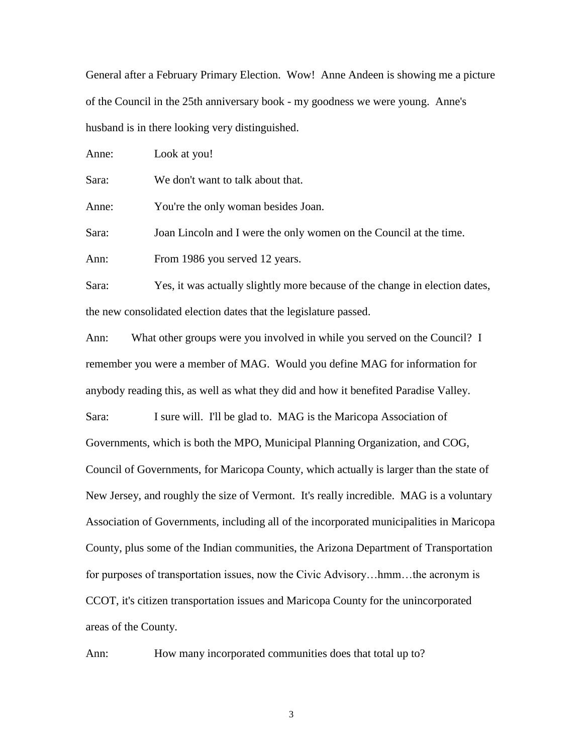General after a February Primary Election. Wow! Anne Andeen is showing me a picture of the Council in the 25th anniversary book - my goodness we were young. Anne's husband is in there looking very distinguished.

| Anne: | Look at you!                                                       |
|-------|--------------------------------------------------------------------|
| Sara: | We don't want to talk about that.                                  |
| Anne: | You're the only woman besides Joan.                                |
| Sara: | Joan Lincoln and I were the only women on the Council at the time. |
| Ann:  | From 1986 you served 12 years.                                     |
|       |                                                                    |

Sara: Yes, it was actually slightly more because of the change in election dates, the new consolidated election dates that the legislature passed.

Ann: What other groups were you involved in while you served on the Council? I remember you were a member of MAG. Would you define MAG for information for anybody reading this, as well as what they did and how it benefited Paradise Valley.

Sara: I sure will. I'll be glad to. MAG is the Maricopa Association of Governments, which is both the MPO, Municipal Planning Organization, and COG, Council of Governments, for Maricopa County, which actually is larger than the state of New Jersey, and roughly the size of Vermont. It's really incredible. MAG is a voluntary Association of Governments, including all of the incorporated municipalities in Maricopa County, plus some of the Indian communities, the Arizona Department of Transportation for purposes of transportation issues, now the Civic Advisory...hmm...the acronym is CCOT, it's citizen transportation issues and Maricopa County for the unincorporated areas of the County.

Ann: How many incorporated communities does that total up to?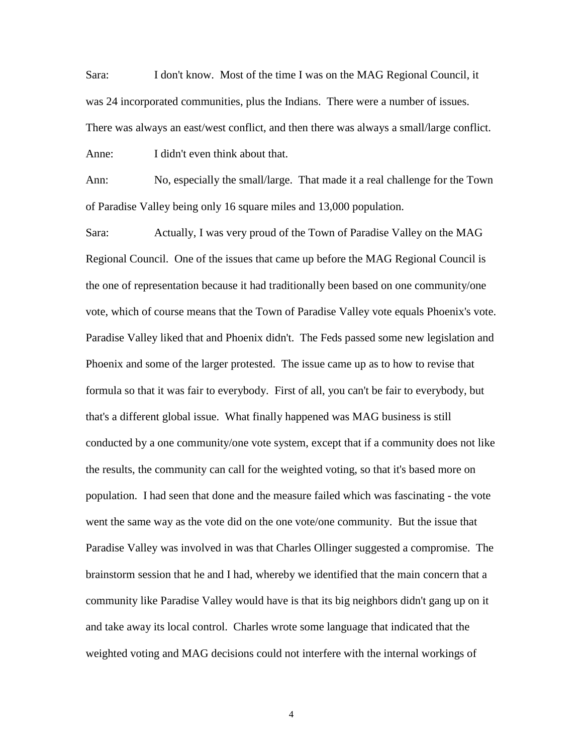Sara: I don't know. Most of the time I was on the MAG Regional Council, it was 24 incorporated communities, plus the Indians. There were a number of issues. There was always an east/west conflict, and then there was always a small/large conflict. Anne: I didn't even think about that.

Ann: No, especially the small/large. That made it a real challenge for the Town of Paradise Valley being only 16 square miles and 13,000 population.

Sara: Actually, I was very proud of the Town of Paradise Valley on the MAG Regional Council. One of the issues that came up before the MAG Regional Council is the one of representation because it had traditionally been based on one community/one vote, which of course means that the Town of Paradise Valley vote equals Phoenix's vote. Paradise Valley liked that and Phoenix didn't. The Feds passed some new legislation and Phoenix and some of the larger protested. The issue came up as to how to revise that formula so that it was fair to everybody. First of all, you can't be fair to everybody, but that's a different global issue. What finally happened was MAG business is still conducted by a one community/one vote system, except that if a community does not like the results, the community can call for the weighted voting, so that it's based more on population. I had seen that done and the measure failed which was fascinating - the vote went the same way as the vote did on the one vote/one community. But the issue that Paradise Valley was involved in was that Charles Ollinger suggested a compromise. The brainstorm session that he and I had, whereby we identified that the main concern that a community like Paradise Valley would have is that its big neighbors didn't gang up on it and take away its local control. Charles wrote some language that indicated that the weighted voting and MAG decisions could not interfere with the internal workings of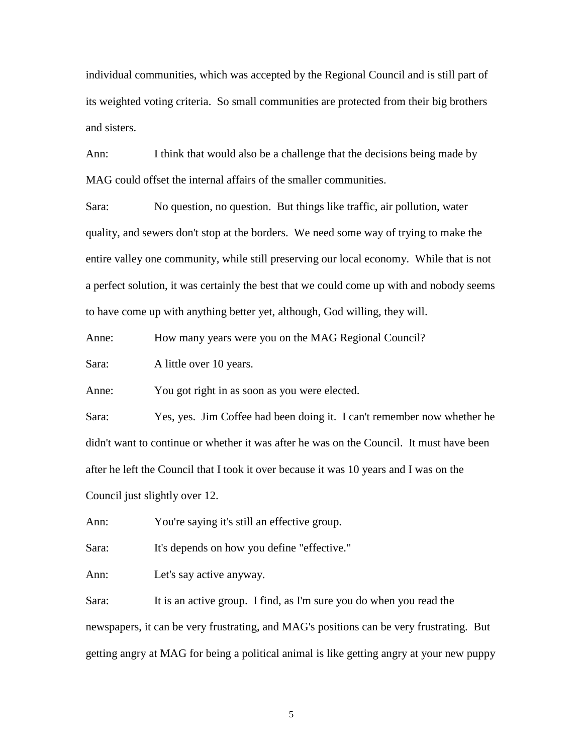individual communities, which was accepted by the Regional Council and is still part of its weighted voting criteria. So small communities are protected from their big brothers and sisters.

Ann: I think that would also be a challenge that the decisions being made by MAG could offset the internal affairs of the smaller communities.

Sara: No question, no question. But things like traffic, air pollution, water quality, and sewers don't stop at the borders. We need some way of trying to make the entire valley one community, while still preserving our local economy. While that is not a perfect solution, it was certainly the best that we could come up with and nobody seems to have come up with anything better yet, although, God willing, they will.

Anne: How many years were you on the MAG Regional Council?

Sara: A little over 10 years.

Anne: You got right in as soon as you were elected.

Sara: Yes, yes. Jim Coffee had been doing it. I can't remember now whether he didn't want to continue or whether it was after he was on the Council. It must have been after he left the Council that I took it over because it was 10 years and I was on the Council just slightly over 12.

Ann: You're saying it's still an effective group.

Sara: It's depends on how you define "effective."

Ann: Let's say active anyway.

Sara: It is an active group. I find, as I'm sure you do when you read the newspapers, it can be very frustrating, and MAG's positions can be very frustrating. But getting angry at MAG for being a political animal is like getting angry at your new puppy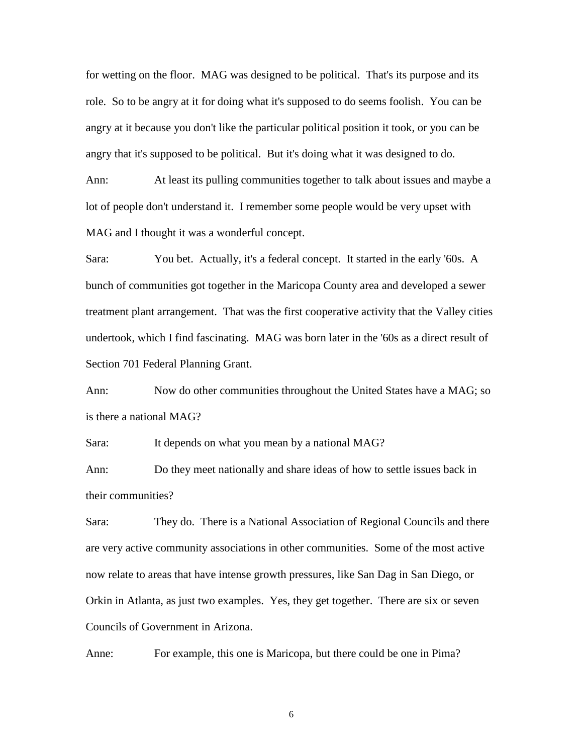for wetting on the floor. MAG was designed to be political. That's its purpose and its role. So to be angry at it for doing what it's supposed to do seems foolish. You can be angry at it because you don't like the particular political position it took, or you can be angry that it's supposed to be political. But it's doing what it was designed to do.

Ann: At least its pulling communities together to talk about issues and maybe a lot of people don't understand it. I remember some people would be very upset with MAG and I thought it was a wonderful concept.

Sara: You bet. Actually, it's a federal concept. It started in the early '60s. A bunch of communities got together in the Maricopa County area and developed a sewer treatment plant arrangement. That was the first cooperative activity that the Valley cities undertook, which I find fascinating. MAG was born later in the '60s as a direct result of Section 701 Federal Planning Grant.

Ann: Now do other communities throughout the United States have a MAG; so is there a national MAG?

Sara: It depends on what you mean by a national MAG?

Ann: Do they meet nationally and share ideas of how to settle issues back in their communities?

Sara: They do. There is a National Association of Regional Councils and there are very active community associations in other communities. Some of the most active now relate to areas that have intense growth pressures, like San Dag in San Diego, or Orkin in Atlanta, as just two examples. Yes, they get together. There are six or seven Councils of Government in Arizona.

Anne: For example, this one is Maricopa, but there could be one in Pima?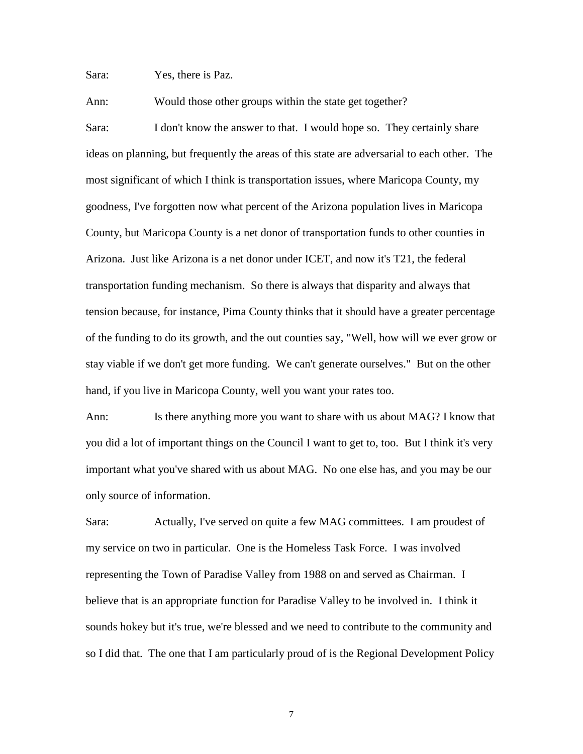Sara: Yes, there is Paz.

Ann: Would those other groups within the state get together?

Sara: I don't know the answer to that. I would hope so. They certainly share ideas on planning, but frequently the areas of this state are adversarial to each other. The most significant of which I think is transportation issues, where Maricopa County, my goodness, I've forgotten now what percent of the Arizona population lives in Maricopa County, but Maricopa County is a net donor of transportation funds to other counties in Arizona. Just like Arizona is a net donor under ICET, and now it's T21, the federal transportation funding mechanism. So there is always that disparity and always that tension because, for instance, Pima County thinks that it should have a greater percentage of the funding to do its growth, and the out counties say, "Well, how will we ever grow or stay viable if we don't get more funding. We can't generate ourselves." But on the other hand, if you live in Maricopa County, well you want your rates too.

Ann: Is there anything more you want to share with us about MAG? I know that you did a lot of important things on the Council I want to get to, too. But I think it's very important what you've shared with us about MAG. No one else has, and you may be our only source of information.

Sara: Actually, I've served on quite a few MAG committees. I am proudest of my service on two in particular. One is the Homeless Task Force. I was involved representing the Town of Paradise Valley from 1988 on and served as Chairman. I believe that is an appropriate function for Paradise Valley to be involved in. I think it sounds hokey but it's true, we're blessed and we need to contribute to the community and so I did that. The one that I am particularly proud of is the Regional Development Policy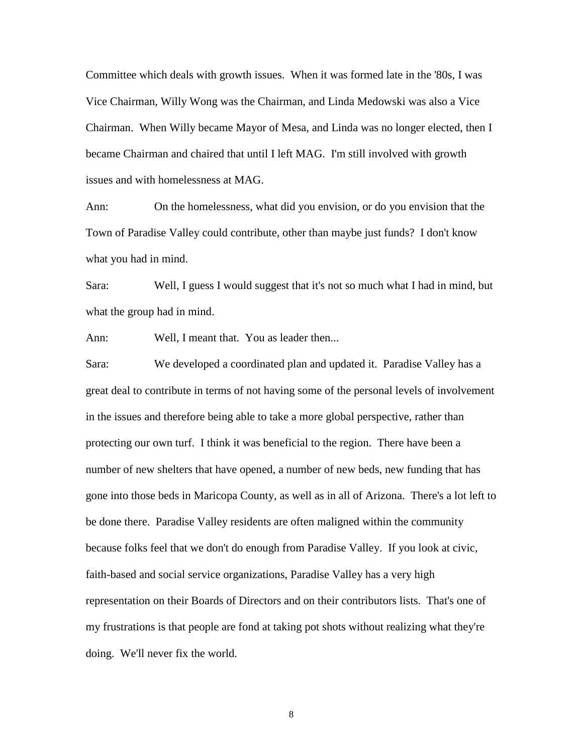Committee which deals with growth issues. When it was formed late in the '80s, I was Vice Chairman, Willy Wong was the Chairman, and Linda Medowski was also a Vice Chairman. When Willy became Mayor of Mesa, and Linda was no longer elected, then I became Chairman and chaired that until I left MAG. I'm still involved with growth issues and with homelessness at MAG.

Ann: On the homelessness, what did you envision, or do you envision that the Town of Paradise Valley could contribute, other than maybe just funds? I don't know what you had in mind.

Sara: Well, I guess I would suggest that it's not so much what I had in mind, but what the group had in mind.

Ann: Well, I meant that. You as leader then...

Sara: We developed a coordinated plan and updated it. Paradise Valley has a great deal to contribute in terms of not having some of the personal levels of involvement in the issues and therefore being able to take a more global perspective, rather than protecting our own turf. I think it was beneficial to the region. There have been a number of new shelters that have opened, a number of new beds, new funding that has gone into those beds in Maricopa County, as well as in all of Arizona. There's a lot left to be done there. Paradise Valley residents are often maligned within the community because folks feel that we don't do enough from Paradise Valley. If you look at civic, faith-based and social service organizations, Paradise Valley has a very high representation on their Boards of Directors and on their contributors lists. That's one of my frustrations is that people are fond at taking pot shots without realizing what they're doing. We'll never fix the world.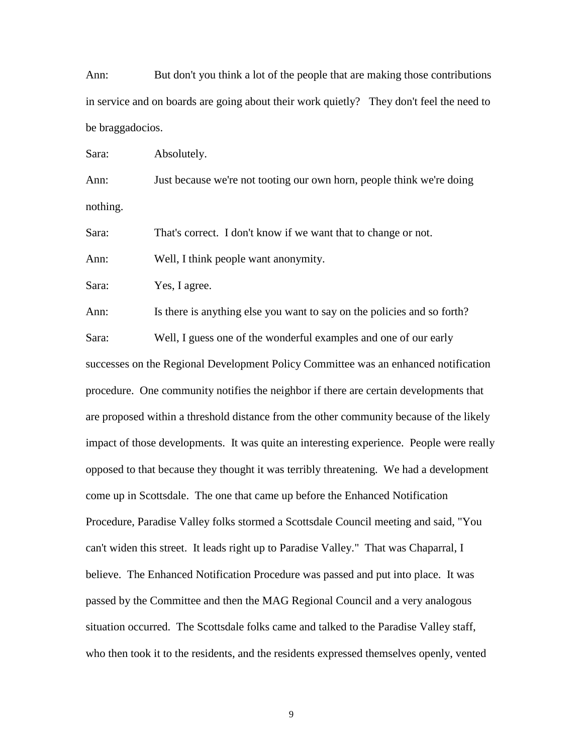Ann: But don't you think a lot of the people that are making those contributions in service and on boards are going about their work quietly? They don't feel the need to be braggadocios.

Sara: Absolutely.

Ann: Just because we're not tooting our own horn, people think we're doing nothing.

Sara: That's correct. I don't know if we want that to change or not.

Ann: Well, I think people want anonymity.

Sara: Yes, I agree.

Ann: Is there is anything else you want to say on the policies and so forth? Sara: Well, I guess one of the wonderful examples and one of our early successes on the Regional Development Policy Committee was an enhanced notification procedure. One community notifies the neighbor if there are certain developments that are proposed within a threshold distance from the other community because of the likely impact of those developments. It was quite an interesting experience. People were really opposed to that because they thought it was terribly threatening. We had a development come up in Scottsdale. The one that came up before the Enhanced Notification Procedure, Paradise Valley folks stormed a Scottsdale Council meeting and said, "You can't widen this street. It leads right up to Paradise Valley." That was Chaparral, I believe. The Enhanced Notification Procedure was passed and put into place. It was passed by the Committee and then the MAG Regional Council and a very analogous situation occurred. The Scottsdale folks came and talked to the Paradise Valley staff, who then took it to the residents, and the residents expressed themselves openly, vented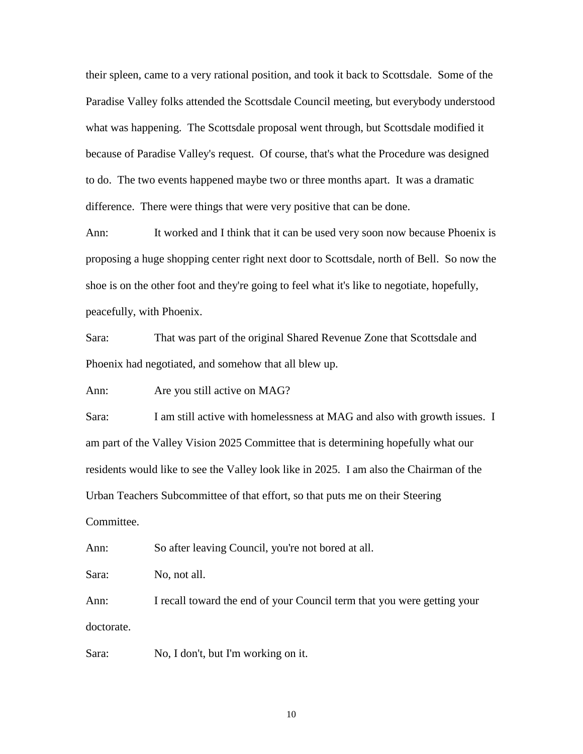their spleen, came to a very rational position, and took it back to Scottsdale. Some of the Paradise Valley folks attended the Scottsdale Council meeting, but everybody understood what was happening. The Scottsdale proposal went through, but Scottsdale modified it because of Paradise Valley's request. Of course, that's what the Procedure was designed to do. The two events happened maybe two or three months apart. It was a dramatic difference. There were things that were very positive that can be done.

Ann: It worked and I think that it can be used very soon now because Phoenix is proposing a huge shopping center right next door to Scottsdale, north of Bell. So now the shoe is on the other foot and they're going to feel what it's like to negotiate, hopefully, peacefully, with Phoenix.

Sara: That was part of the original Shared Revenue Zone that Scottsdale and Phoenix had negotiated, and somehow that all blew up.

Ann: Are you still active on MAG?

Sara: I am still active with homelessness at MAG and also with growth issues. I am part of the Valley Vision 2025 Committee that is determining hopefully what our residents would like to see the Valley look like in 2025. I am also the Chairman of the Urban Teachers Subcommittee of that effort, so that puts me on their Steering Committee.

Ann: So after leaving Council, you're not bored at all.

Sara: No, not all.

Ann: I recall toward the end of your Council term that you were getting your doctorate.

Sara: No, I don't, but I'm working on it.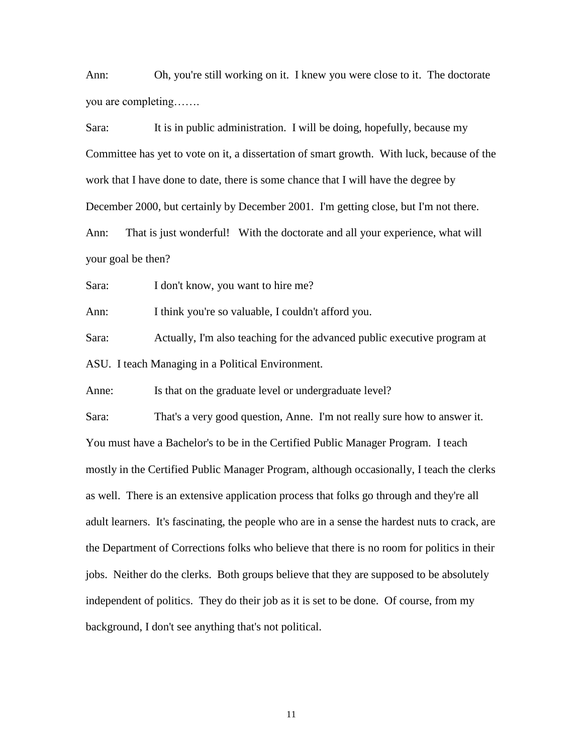Ann: Oh, you're still working on it. I knew you were close to it. The doctorate you are completing…….

Sara: It is in public administration. I will be doing, hopefully, because my Committee has yet to vote on it, a dissertation of smart growth. With luck, because of the work that I have done to date, there is some chance that I will have the degree by December 2000, but certainly by December 2001. I'm getting close, but I'm not there. Ann: That is just wonderful! With the doctorate and all your experience, what will your goal be then?

Sara: I don't know, you want to hire me?

Ann: I think you're so valuable, I couldn't afford you.

Sara: Actually, I'm also teaching for the advanced public executive program at ASU. I teach Managing in a Political Environment.

Anne: Is that on the graduate level or undergraduate level?

Sara: That's a very good question, Anne. I'm not really sure how to answer it. You must have a Bachelor's to be in the Certified Public Manager Program. I teach mostly in the Certified Public Manager Program, although occasionally, I teach the clerks as well. There is an extensive application process that folks go through and they're all adult learners. It's fascinating, the people who are in a sense the hardest nuts to crack, are the Department of Corrections folks who believe that there is no room for politics in their jobs. Neither do the clerks. Both groups believe that they are supposed to be absolutely independent of politics. They do their job as it is set to be done. Of course, from my background, I don't see anything that's not political.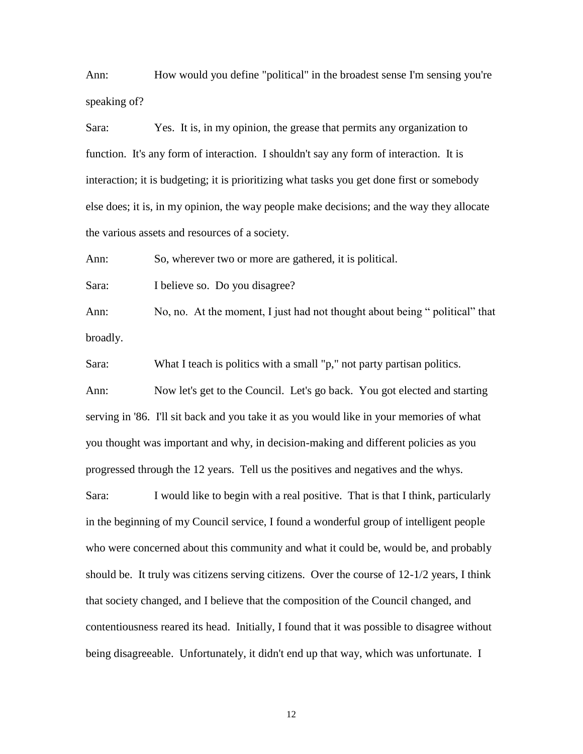Ann: How would you define "political" in the broadest sense I'm sensing you're speaking of?

Sara: Yes. It is, in my opinion, the grease that permits any organization to function. It's any form of interaction. I shouldn't say any form of interaction. It is interaction; it is budgeting; it is prioritizing what tasks you get done first or somebody else does; it is, in my opinion, the way people make decisions; and the way they allocate the various assets and resources of a society.

Ann: So, wherever two or more are gathered, it is political.

Sara: I believe so. Do you disagree?

Ann: No, no. At the moment, I just had not thought about being " political" that broadly.

Sara: What I teach is politics with a small "p," not party partisan politics.

Ann: Now let's get to the Council. Let's go back. You got elected and starting serving in '86. I'll sit back and you take it as you would like in your memories of what you thought was important and why, in decision-making and different policies as you progressed through the 12 years. Tell us the positives and negatives and the whys.

Sara: I would like to begin with a real positive. That is that I think, particularly in the beginning of my Council service, I found a wonderful group of intelligent people who were concerned about this community and what it could be, would be, and probably should be. It truly was citizens serving citizens. Over the course of 12-1/2 years, I think that society changed, and I believe that the composition of the Council changed, and contentiousness reared its head. Initially, I found that it was possible to disagree without being disagreeable. Unfortunately, it didn't end up that way, which was unfortunate. I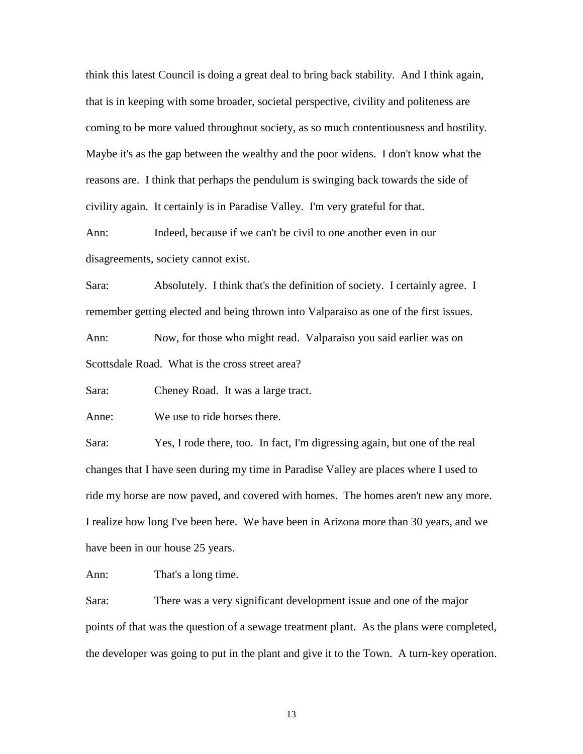think this latest Council is doing a great deal to bring back stability. And I think again, that is in keeping with some broader, societal perspective, civility and politeness are coming to be more valued throughout society, as so much contentiousness and hostility. Maybe it's as the gap between the wealthy and the poor widens. I don't know what the reasons are. I think that perhaps the pendulum is swinging back towards the side of civility again. It certainly is in Paradise Valley. I'm very grateful for that.

Ann: Indeed, because if we can't be civil to one another even in our disagreements, society cannot exist.

Sara: Absolutely. I think that's the definition of society. I certainly agree. I remember getting elected and being thrown into Valparaiso as one of the first issues. Ann: Now, for those who might read. Valparaiso you said earlier was on

Scottsdale Road. What is the cross street area?

Sara: Cheney Road. It was a large tract.

Anne: We use to ride horses there.

Sara: Yes, I rode there, too. In fact, I'm digressing again, but one of the real changes that I have seen during my time in Paradise Valley are places where I used to ride my horse are now paved, and covered with homes. The homes aren't new any more. I realize how long I've been here. We have been in Arizona more than 30 years, and we have been in our house 25 years.

Ann: That's a long time.

Sara: There was a very significant development issue and one of the major points of that was the question of a sewage treatment plant. As the plans were completed, the developer was going to put in the plant and give it to the Town. A turn-key operation.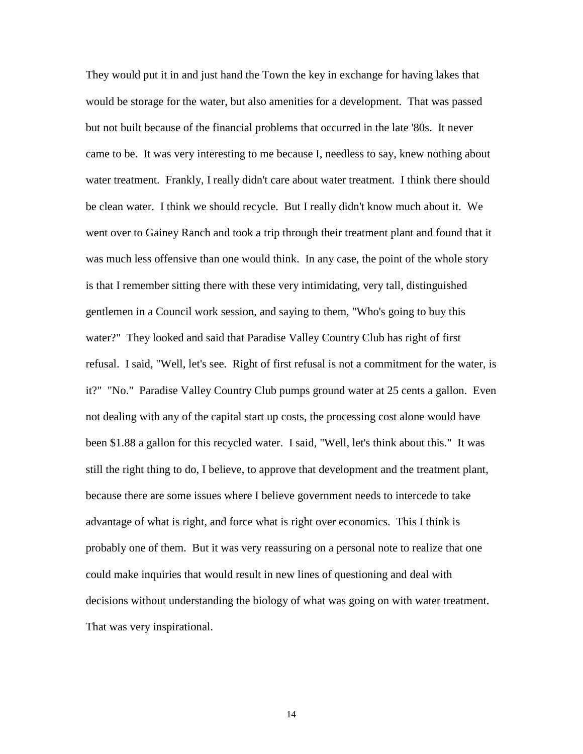They would put it in and just hand the Town the key in exchange for having lakes that would be storage for the water, but also amenities for a development. That was passed but not built because of the financial problems that occurred in the late '80s. It never came to be. It was very interesting to me because I, needless to say, knew nothing about water treatment. Frankly, I really didn't care about water treatment. I think there should be clean water. I think we should recycle. But I really didn't know much about it. We went over to Gainey Ranch and took a trip through their treatment plant and found that it was much less offensive than one would think. In any case, the point of the whole story is that I remember sitting there with these very intimidating, very tall, distinguished gentlemen in a Council work session, and saying to them, "Who's going to buy this water?" They looked and said that Paradise Valley Country Club has right of first refusal. I said, "Well, let's see. Right of first refusal is not a commitment for the water, is it?" "No." Paradise Valley Country Club pumps ground water at 25 cents a gallon. Even not dealing with any of the capital start up costs, the processing cost alone would have been \$1.88 a gallon for this recycled water. I said, "Well, let's think about this." It was still the right thing to do, I believe, to approve that development and the treatment plant, because there are some issues where I believe government needs to intercede to take advantage of what is right, and force what is right over economics. This I think is probably one of them. But it was very reassuring on a personal note to realize that one could make inquiries that would result in new lines of questioning and deal with decisions without understanding the biology of what was going on with water treatment. That was very inspirational.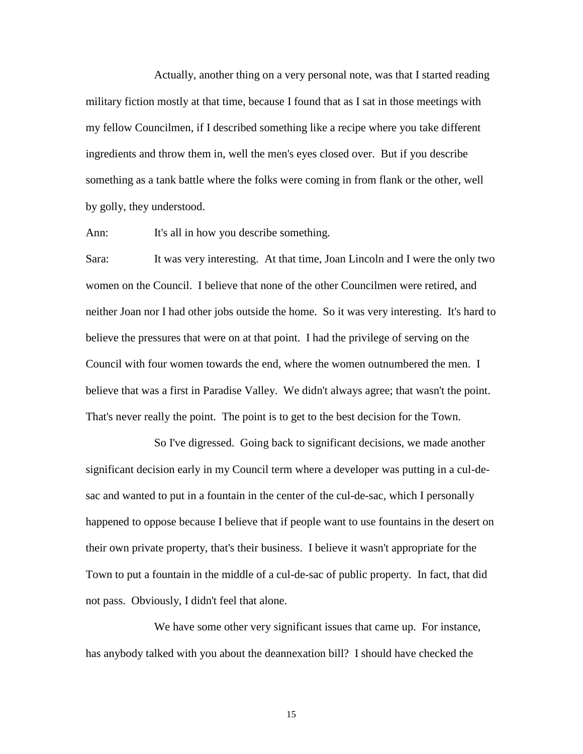Actually, another thing on a very personal note, was that I started reading military fiction mostly at that time, because I found that as I sat in those meetings with my fellow Councilmen, if I described something like a recipe where you take different ingredients and throw them in, well the men's eyes closed over. But if you describe something as a tank battle where the folks were coming in from flank or the other, well by golly, they understood.

Ann: It's all in how you describe something.

Sara: It was very interesting. At that time, Joan Lincoln and I were the only two women on the Council. I believe that none of the other Councilmen were retired, and neither Joan nor I had other jobs outside the home. So it was very interesting. It's hard to believe the pressures that were on at that point. I had the privilege of serving on the Council with four women towards the end, where the women outnumbered the men. I believe that was a first in Paradise Valley. We didn't always agree; that wasn't the point. That's never really the point. The point is to get to the best decision for the Town.

So I've digressed. Going back to significant decisions, we made another significant decision early in my Council term where a developer was putting in a cul-desac and wanted to put in a fountain in the center of the cul-de-sac, which I personally happened to oppose because I believe that if people want to use fountains in the desert on their own private property, that's their business. I believe it wasn't appropriate for the Town to put a fountain in the middle of a cul-de-sac of public property. In fact, that did not pass. Obviously, I didn't feel that alone.

We have some other very significant issues that came up. For instance, has anybody talked with you about the deannexation bill? I should have checked the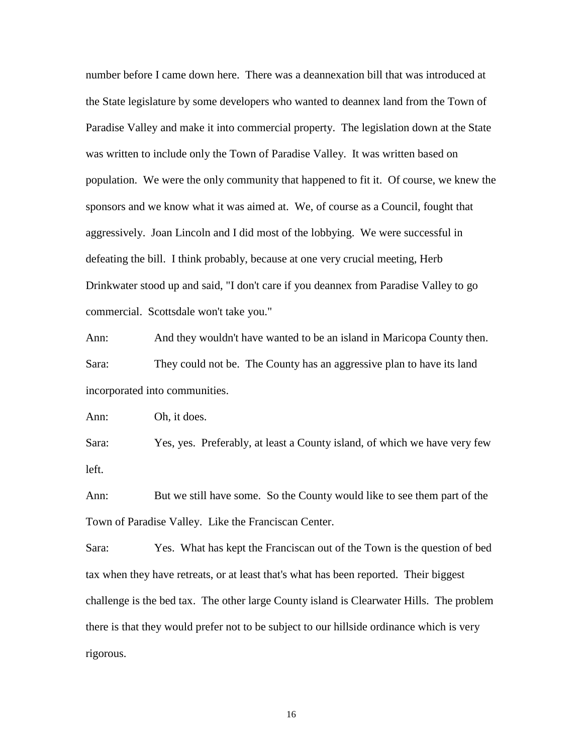number before I came down here. There was a deannexation bill that was introduced at the State legislature by some developers who wanted to deannex land from the Town of Paradise Valley and make it into commercial property. The legislation down at the State was written to include only the Town of Paradise Valley. It was written based on population. We were the only community that happened to fit it. Of course, we knew the sponsors and we know what it was aimed at. We, of course as a Council, fought that aggressively. Joan Lincoln and I did most of the lobbying. We were successful in defeating the bill. I think probably, because at one very crucial meeting, Herb Drinkwater stood up and said, "I don't care if you deannex from Paradise Valley to go commercial. Scottsdale won't take you."

Ann: And they wouldn't have wanted to be an island in Maricopa County then. Sara: They could not be. The County has an aggressive plan to have its land incorporated into communities.

Ann: Oh, it does.

Sara: Yes, yes. Preferably, at least a County island, of which we have very few left.

Ann: But we still have some. So the County would like to see them part of the Town of Paradise Valley. Like the Franciscan Center.

Sara: Yes. What has kept the Franciscan out of the Town is the question of bed tax when they have retreats, or at least that's what has been reported. Their biggest challenge is the bed tax. The other large County island is Clearwater Hills. The problem there is that they would prefer not to be subject to our hillside ordinance which is very rigorous.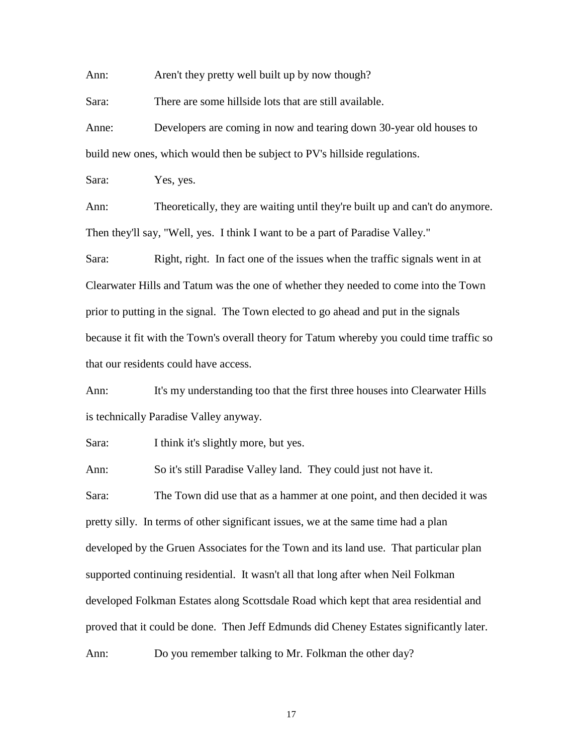Ann: Aren't they pretty well built up by now though?

Sara: There are some hillside lots that are still available.

Anne: Developers are coming in now and tearing down 30-year old houses to build new ones, which would then be subject to PV's hillside regulations.

Sara: Yes, yes.

Ann: Theoretically, they are waiting until they're built up and can't do anymore. Then they'll say, "Well, yes. I think I want to be a part of Paradise Valley."

Sara: Right, right. In fact one of the issues when the traffic signals went in at Clearwater Hills and Tatum was the one of whether they needed to come into the Town prior to putting in the signal. The Town elected to go ahead and put in the signals because it fit with the Town's overall theory for Tatum whereby you could time traffic so that our residents could have access.

Ann: It's my understanding too that the first three houses into Clearwater Hills is technically Paradise Valley anyway.

Sara: I think it's slightly more, but yes.

Ann: So it's still Paradise Valley land. They could just not have it.

Sara: The Town did use that as a hammer at one point, and then decided it was pretty silly. In terms of other significant issues, we at the same time had a plan developed by the Gruen Associates for the Town and its land use. That particular plan supported continuing residential. It wasn't all that long after when Neil Folkman developed Folkman Estates along Scottsdale Road which kept that area residential and proved that it could be done. Then Jeff Edmunds did Cheney Estates significantly later. Ann: Do you remember talking to Mr. Folkman the other day?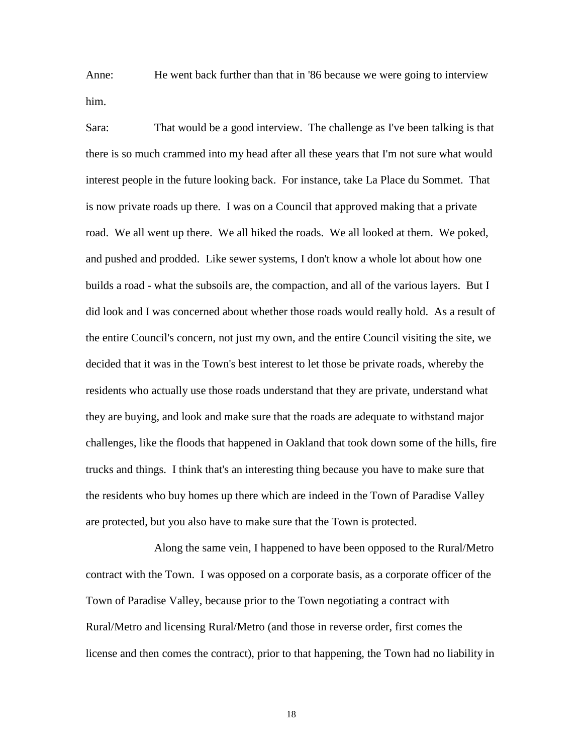Anne: He went back further than that in '86 because we were going to interview him.

Sara: That would be a good interview. The challenge as I've been talking is that there is so much crammed into my head after all these years that I'm not sure what would interest people in the future looking back. For instance, take La Place du Sommet. That is now private roads up there. I was on a Council that approved making that a private road. We all went up there. We all hiked the roads. We all looked at them. We poked, and pushed and prodded. Like sewer systems, I don't know a whole lot about how one builds a road - what the subsoils are, the compaction, and all of the various layers. But I did look and I was concerned about whether those roads would really hold. As a result of the entire Council's concern, not just my own, and the entire Council visiting the site, we decided that it was in the Town's best interest to let those be private roads, whereby the residents who actually use those roads understand that they are private, understand what they are buying, and look and make sure that the roads are adequate to withstand major challenges, like the floods that happened in Oakland that took down some of the hills, fire trucks and things. I think that's an interesting thing because you have to make sure that the residents who buy homes up there which are indeed in the Town of Paradise Valley are protected, but you also have to make sure that the Town is protected.

Along the same vein, I happened to have been opposed to the Rural/Metro contract with the Town. I was opposed on a corporate basis, as a corporate officer of the Town of Paradise Valley, because prior to the Town negotiating a contract with Rural/Metro and licensing Rural/Metro (and those in reverse order, first comes the license and then comes the contract), prior to that happening, the Town had no liability in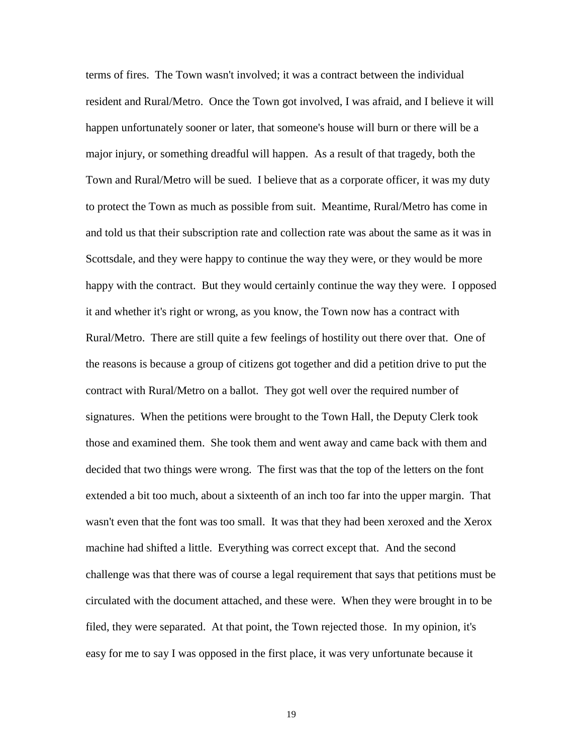terms of fires. The Town wasn't involved; it was a contract between the individual resident and Rural/Metro. Once the Town got involved, I was afraid, and I believe it will happen unfortunately sooner or later, that someone's house will burn or there will be a major injury, or something dreadful will happen. As a result of that tragedy, both the Town and Rural/Metro will be sued. I believe that as a corporate officer, it was my duty to protect the Town as much as possible from suit. Meantime, Rural/Metro has come in and told us that their subscription rate and collection rate was about the same as it was in Scottsdale, and they were happy to continue the way they were, or they would be more happy with the contract. But they would certainly continue the way they were. I opposed it and whether it's right or wrong, as you know, the Town now has a contract with Rural/Metro. There are still quite a few feelings of hostility out there over that. One of the reasons is because a group of citizens got together and did a petition drive to put the contract with Rural/Metro on a ballot. They got well over the required number of signatures. When the petitions were brought to the Town Hall, the Deputy Clerk took those and examined them. She took them and went away and came back with them and decided that two things were wrong. The first was that the top of the letters on the font extended a bit too much, about a sixteenth of an inch too far into the upper margin. That wasn't even that the font was too small. It was that they had been xeroxed and the Xerox machine had shifted a little. Everything was correct except that. And the second challenge was that there was of course a legal requirement that says that petitions must be circulated with the document attached, and these were. When they were brought in to be filed, they were separated. At that point, the Town rejected those. In my opinion, it's easy for me to say I was opposed in the first place, it was very unfortunate because it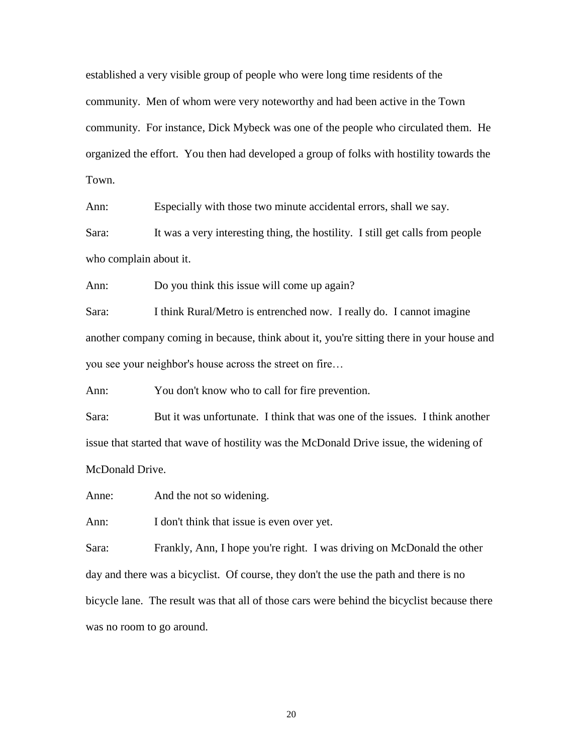established a very visible group of people who were long time residents of the community. Men of whom were very noteworthy and had been active in the Town community. For instance, Dick Mybeck was one of the people who circulated them. He organized the effort. You then had developed a group of folks with hostility towards the Town.

Ann: Especially with those two minute accidental errors, shall we say.

Sara: It was a very interesting thing, the hostility. I still get calls from people who complain about it.

Ann: Do you think this issue will come up again?

Sara: I think Rural/Metro is entrenched now. I really do. I cannot imagine another company coming in because, think about it, you're sitting there in your house and you see your neighbor's house across the street on fire…

Ann: You don't know who to call for fire prevention.

Sara: But it was unfortunate. I think that was one of the issues. I think another issue that started that wave of hostility was the McDonald Drive issue, the widening of McDonald Drive.

Anne: And the not so widening.

Ann: I don't think that issue is even over yet.

Sara: Frankly, Ann, I hope you're right. I was driving on McDonald the other day and there was a bicyclist. Of course, they don't the use the path and there is no bicycle lane. The result was that all of those cars were behind the bicyclist because there was no room to go around.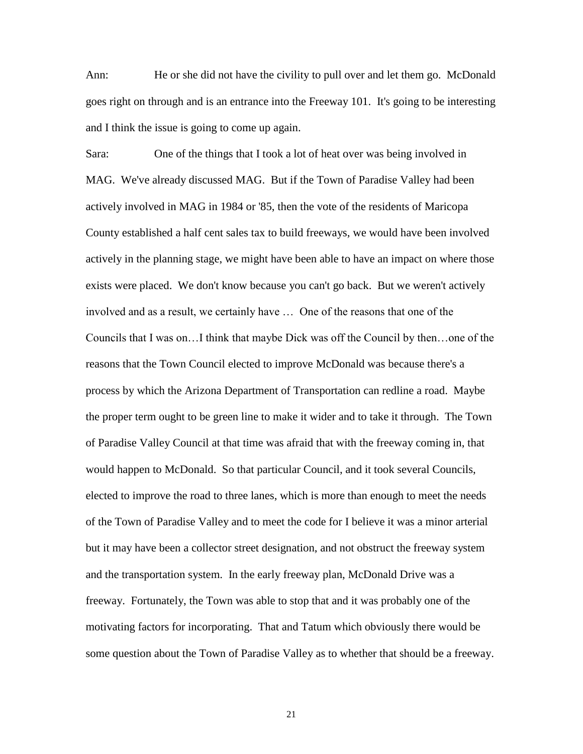Ann: He or she did not have the civility to pull over and let them go. McDonald goes right on through and is an entrance into the Freeway 101. It's going to be interesting and I think the issue is going to come up again.

Sara: One of the things that I took a lot of heat over was being involved in MAG. We've already discussed MAG. But if the Town of Paradise Valley had been actively involved in MAG in 1984 or '85, then the vote of the residents of Maricopa County established a half cent sales tax to build freeways, we would have been involved actively in the planning stage, we might have been able to have an impact on where those exists were placed. We don't know because you can't go back. But we weren't actively involved and as a result, we certainly have … One of the reasons that one of the Councils that I was on…I think that maybe Dick was off the Council by then…one of the reasons that the Town Council elected to improve McDonald was because there's a process by which the Arizona Department of Transportation can redline a road. Maybe the proper term ought to be green line to make it wider and to take it through. The Town of Paradise Valley Council at that time was afraid that with the freeway coming in, that would happen to McDonald. So that particular Council, and it took several Councils, elected to improve the road to three lanes, which is more than enough to meet the needs of the Town of Paradise Valley and to meet the code for I believe it was a minor arterial but it may have been a collector street designation, and not obstruct the freeway system and the transportation system. In the early freeway plan, McDonald Drive was a freeway. Fortunately, the Town was able to stop that and it was probably one of the motivating factors for incorporating. That and Tatum which obviously there would be some question about the Town of Paradise Valley as to whether that should be a freeway.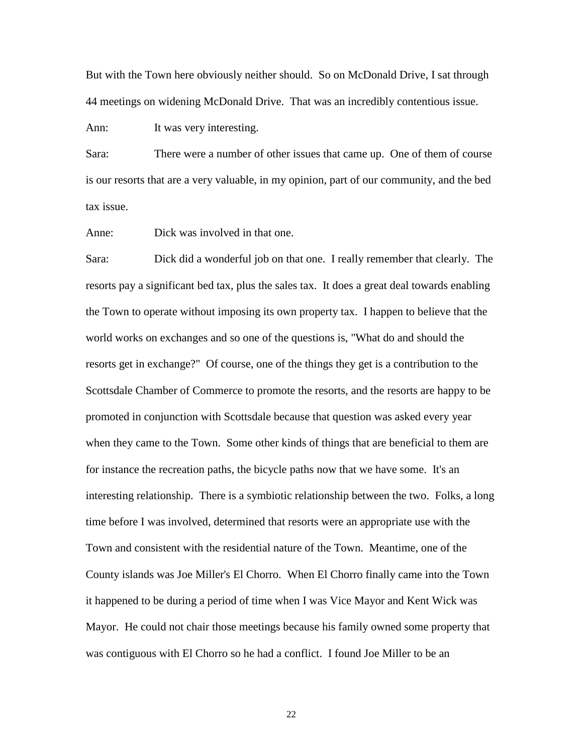But with the Town here obviously neither should. So on McDonald Drive, I sat through 44 meetings on widening McDonald Drive. That was an incredibly contentious issue.

Ann: It was very interesting.

Sara: There were a number of other issues that came up. One of them of course is our resorts that are a very valuable, in my opinion, part of our community, and the bed tax issue.

Anne: Dick was involved in that one.

Sara: Dick did a wonderful job on that one. I really remember that clearly. The resorts pay a significant bed tax, plus the sales tax. It does a great deal towards enabling the Town to operate without imposing its own property tax. I happen to believe that the world works on exchanges and so one of the questions is, "What do and should the resorts get in exchange?" Of course, one of the things they get is a contribution to the Scottsdale Chamber of Commerce to promote the resorts, and the resorts are happy to be promoted in conjunction with Scottsdale because that question was asked every year when they came to the Town. Some other kinds of things that are beneficial to them are for instance the recreation paths, the bicycle paths now that we have some. It's an interesting relationship. There is a symbiotic relationship between the two. Folks, a long time before I was involved, determined that resorts were an appropriate use with the Town and consistent with the residential nature of the Town. Meantime, one of the County islands was Joe Miller's El Chorro. When El Chorro finally came into the Town it happened to be during a period of time when I was Vice Mayor and Kent Wick was Mayor. He could not chair those meetings because his family owned some property that was contiguous with El Chorro so he had a conflict. I found Joe Miller to be an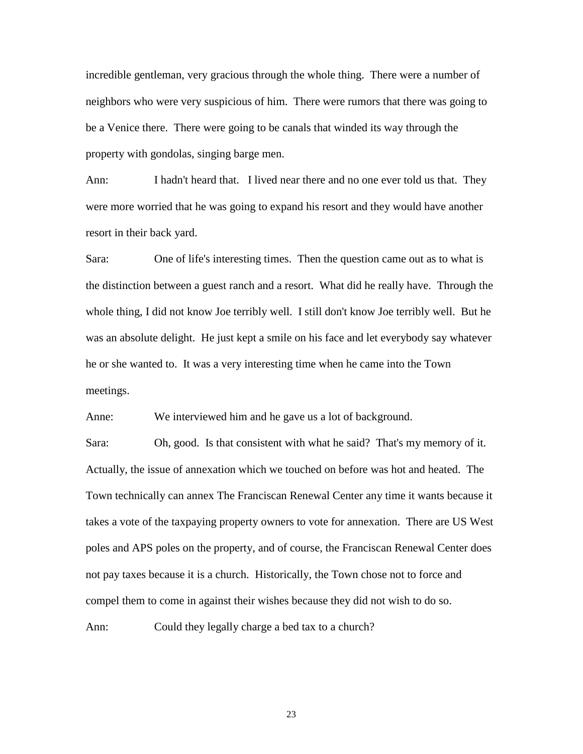incredible gentleman, very gracious through the whole thing. There were a number of neighbors who were very suspicious of him. There were rumors that there was going to be a Venice there. There were going to be canals that winded its way through the property with gondolas, singing barge men.

Ann: I hadn't heard that. I lived near there and no one ever told us that. They were more worried that he was going to expand his resort and they would have another resort in their back yard.

Sara: One of life's interesting times. Then the question came out as to what is the distinction between a guest ranch and a resort. What did he really have. Through the whole thing, I did not know Joe terribly well. I still don't know Joe terribly well. But he was an absolute delight. He just kept a smile on his face and let everybody say whatever he or she wanted to. It was a very interesting time when he came into the Town meetings.

Anne: We interviewed him and he gave us a lot of background.

Sara: Oh, good. Is that consistent with what he said? That's my memory of it. Actually, the issue of annexation which we touched on before was hot and heated. The Town technically can annex The Franciscan Renewal Center any time it wants because it takes a vote of the taxpaying property owners to vote for annexation. There are US West poles and APS poles on the property, and of course, the Franciscan Renewal Center does not pay taxes because it is a church. Historically, the Town chose not to force and compel them to come in against their wishes because they did not wish to do so.

Ann: Could they legally charge a bed tax to a church?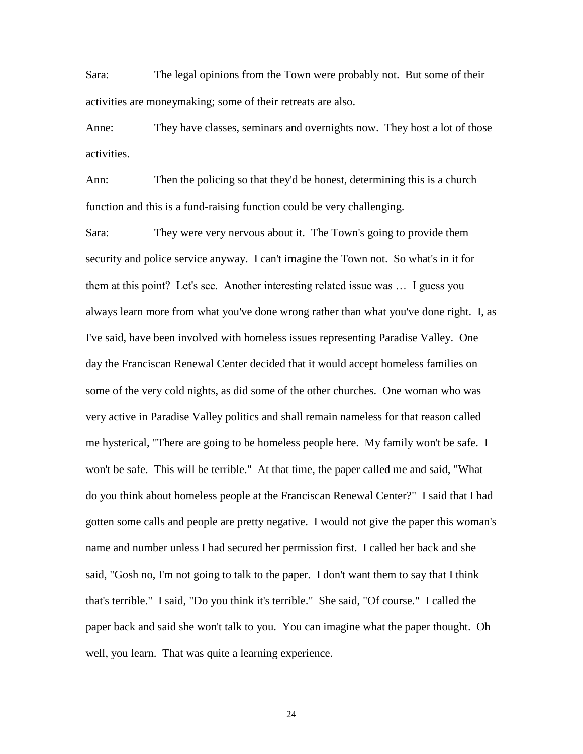Sara: The legal opinions from the Town were probably not. But some of their activities are moneymaking; some of their retreats are also.

Anne: They have classes, seminars and overnights now. They host a lot of those activities.

Ann: Then the policing so that they'd be honest, determining this is a church function and this is a fund-raising function could be very challenging.

Sara: They were very nervous about it. The Town's going to provide them security and police service anyway. I can't imagine the Town not. So what's in it for them at this point? Let's see. Another interesting related issue was … I guess you always learn more from what you've done wrong rather than what you've done right. I, as I've said, have been involved with homeless issues representing Paradise Valley. One day the Franciscan Renewal Center decided that it would accept homeless families on some of the very cold nights, as did some of the other churches. One woman who was very active in Paradise Valley politics and shall remain nameless for that reason called me hysterical, "There are going to be homeless people here. My family won't be safe. I won't be safe. This will be terrible." At that time, the paper called me and said, "What do you think about homeless people at the Franciscan Renewal Center?" I said that I had gotten some calls and people are pretty negative. I would not give the paper this woman's name and number unless I had secured her permission first. I called her back and she said, "Gosh no, I'm not going to talk to the paper. I don't want them to say that I think that's terrible." I said, "Do you think it's terrible." She said, "Of course." I called the paper back and said she won't talk to you. You can imagine what the paper thought. Oh well, you learn. That was quite a learning experience.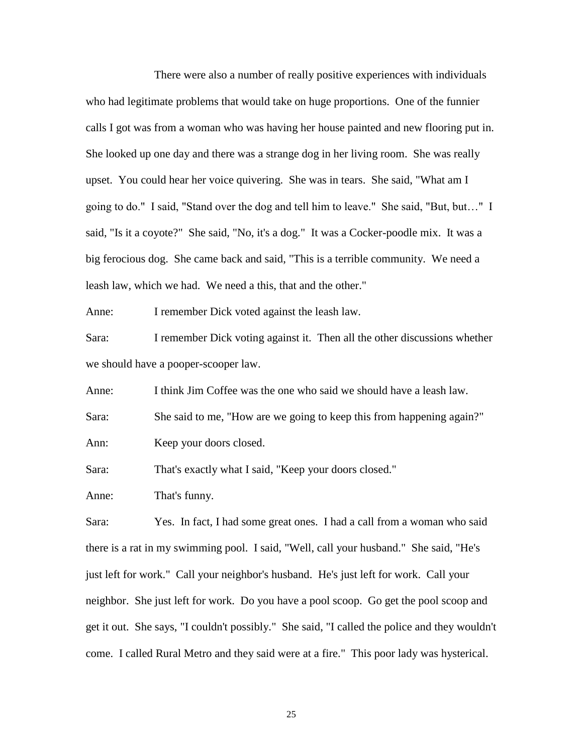There were also a number of really positive experiences with individuals who had legitimate problems that would take on huge proportions. One of the funnier calls I got was from a woman who was having her house painted and new flooring put in. She looked up one day and there was a strange dog in her living room. She was really upset. You could hear her voice quivering. She was in tears. She said, "What am I going to do." I said, "Stand over the dog and tell him to leave." She said, "But, but…" I said, "Is it a coyote?" She said, "No, it's a dog." It was a Cocker-poodle mix. It was a big ferocious dog. She came back and said, "This is a terrible community. We need a leash law, which we had. We need a this, that and the other."

Anne: I remember Dick voted against the leash law.

Sara: I remember Dick voting against it. Then all the other discussions whether we should have a pooper-scooper law.

Anne: I think Jim Coffee was the one who said we should have a leash law. Sara: She said to me, "How are we going to keep this from happening again?" Ann: Keep your doors closed.

Sara: That's exactly what I said, "Keep your doors closed."

Anne: That's funny.

Sara: Yes. In fact, I had some great ones. I had a call from a woman who said there is a rat in my swimming pool. I said, "Well, call your husband." She said, "He's just left for work." Call your neighbor's husband. He's just left for work. Call your neighbor. She just left for work. Do you have a pool scoop. Go get the pool scoop and get it out. She says, "I couldn't possibly." She said, "I called the police and they wouldn't come. I called Rural Metro and they said were at a fire." This poor lady was hysterical.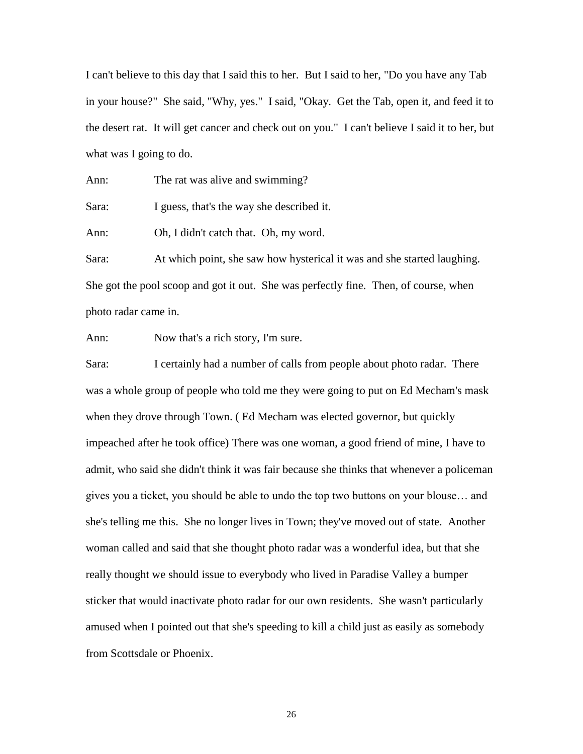I can't believe to this day that I said this to her. But I said to her, "Do you have any Tab in your house?" She said, "Why, yes." I said, "Okay. Get the Tab, open it, and feed it to the desert rat. It will get cancer and check out on you." I can't believe I said it to her, but what was I going to do.

Ann: The rat was alive and swimming?

Sara: I guess, that's the way she described it.

Ann: Oh, I didn't catch that. Oh, my word.

Sara: At which point, she saw how hysterical it was and she started laughing. She got the pool scoop and got it out. She was perfectly fine. Then, of course, when photo radar came in.

Ann: Now that's a rich story, I'm sure.

Sara: I certainly had a number of calls from people about photo radar. There was a whole group of people who told me they were going to put on Ed Mecham's mask when they drove through Town. ( Ed Mecham was elected governor, but quickly impeached after he took office) There was one woman, a good friend of mine, I have to admit, who said she didn't think it was fair because she thinks that whenever a policeman gives you a ticket, you should be able to undo the top two buttons on your blouse… and she's telling me this. She no longer lives in Town; they've moved out of state. Another woman called and said that she thought photo radar was a wonderful idea, but that she really thought we should issue to everybody who lived in Paradise Valley a bumper sticker that would inactivate photo radar for our own residents. She wasn't particularly amused when I pointed out that she's speeding to kill a child just as easily as somebody from Scottsdale or Phoenix.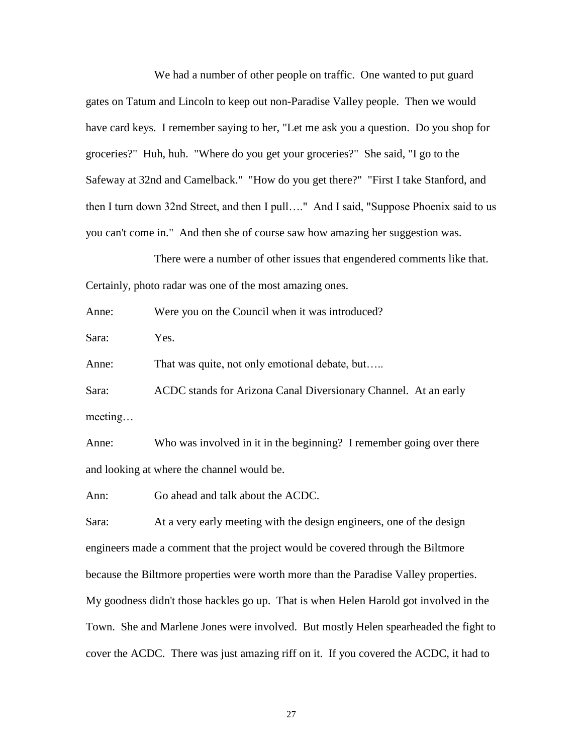We had a number of other people on traffic. One wanted to put guard gates on Tatum and Lincoln to keep out non-Paradise Valley people. Then we would have card keys. I remember saying to her, "Let me ask you a question. Do you shop for groceries?" Huh, huh. "Where do you get your groceries?" She said, "I go to the Safeway at 32nd and Camelback." "How do you get there?" "First I take Stanford, and then I turn down 32nd Street, and then I pull…." And I said, "Suppose Phoenix said to us you can't come in." And then she of course saw how amazing her suggestion was.

There were a number of other issues that engendered comments like that. Certainly, photo radar was one of the most amazing ones.

Anne: Were you on the Council when it was introduced?

Sara: Yes.

Anne: That was quite, not only emotional debate, but…..

Sara: ACDC stands for Arizona Canal Diversionary Channel. At an early meeting…

Anne: Who was involved in it in the beginning? I remember going over there and looking at where the channel would be.

Ann: Go ahead and talk about the ACDC.

Sara: At a very early meeting with the design engineers, one of the design engineers made a comment that the project would be covered through the Biltmore because the Biltmore properties were worth more than the Paradise Valley properties. My goodness didn't those hackles go up. That is when Helen Harold got involved in the Town. She and Marlene Jones were involved. But mostly Helen spearheaded the fight to cover the ACDC. There was just amazing riff on it. If you covered the ACDC, it had to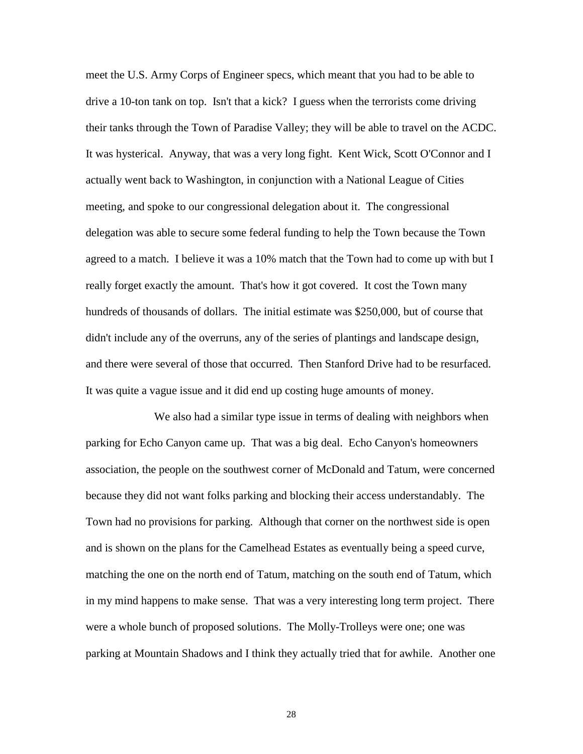meet the U.S. Army Corps of Engineer specs, which meant that you had to be able to drive a 10-ton tank on top. Isn't that a kick? I guess when the terrorists come driving their tanks through the Town of Paradise Valley; they will be able to travel on the ACDC. It was hysterical. Anyway, that was a very long fight. Kent Wick, Scott O'Connor and I actually went back to Washington, in conjunction with a National League of Cities meeting, and spoke to our congressional delegation about it. The congressional delegation was able to secure some federal funding to help the Town because the Town agreed to a match. I believe it was a 10% match that the Town had to come up with but I really forget exactly the amount. That's how it got covered. It cost the Town many hundreds of thousands of dollars. The initial estimate was \$250,000, but of course that didn't include any of the overruns, any of the series of plantings and landscape design, and there were several of those that occurred. Then Stanford Drive had to be resurfaced. It was quite a vague issue and it did end up costing huge amounts of money.

We also had a similar type issue in terms of dealing with neighbors when parking for Echo Canyon came up. That was a big deal. Echo Canyon's homeowners association, the people on the southwest corner of McDonald and Tatum, were concerned because they did not want folks parking and blocking their access understandably. The Town had no provisions for parking. Although that corner on the northwest side is open and is shown on the plans for the Camelhead Estates as eventually being a speed curve, matching the one on the north end of Tatum, matching on the south end of Tatum, which in my mind happens to make sense. That was a very interesting long term project. There were a whole bunch of proposed solutions. The Molly-Trolleys were one; one was parking at Mountain Shadows and I think they actually tried that for awhile. Another one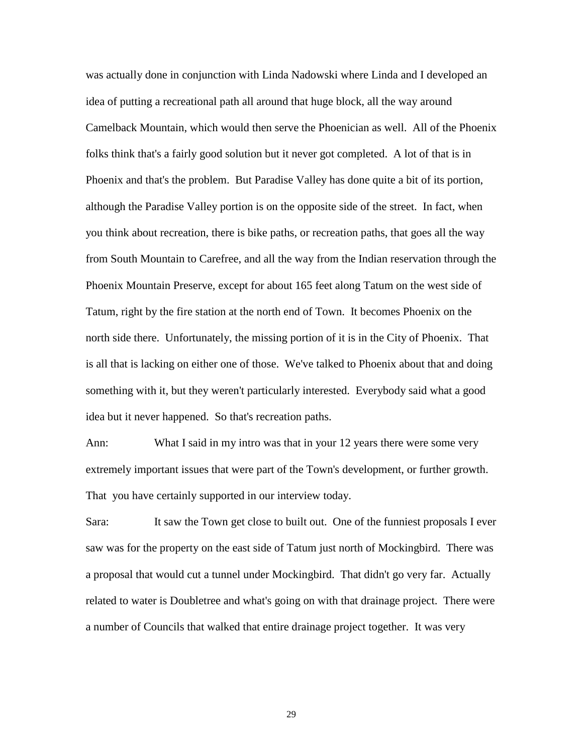was actually done in conjunction with Linda Nadowski where Linda and I developed an idea of putting a recreational path all around that huge block, all the way around Camelback Mountain, which would then serve the Phoenician as well. All of the Phoenix folks think that's a fairly good solution but it never got completed. A lot of that is in Phoenix and that's the problem. But Paradise Valley has done quite a bit of its portion, although the Paradise Valley portion is on the opposite side of the street. In fact, when you think about recreation, there is bike paths, or recreation paths, that goes all the way from South Mountain to Carefree, and all the way from the Indian reservation through the Phoenix Mountain Preserve, except for about 165 feet along Tatum on the west side of Tatum, right by the fire station at the north end of Town. It becomes Phoenix on the north side there. Unfortunately, the missing portion of it is in the City of Phoenix. That is all that is lacking on either one of those. We've talked to Phoenix about that and doing something with it, but they weren't particularly interested. Everybody said what a good idea but it never happened. So that's recreation paths.

Ann: What I said in my intro was that in your 12 years there were some very extremely important issues that were part of the Town's development, or further growth. That you have certainly supported in our interview today.

Sara: It saw the Town get close to built out. One of the funniest proposals I ever saw was for the property on the east side of Tatum just north of Mockingbird. There was a proposal that would cut a tunnel under Mockingbird. That didn't go very far. Actually related to water is Doubletree and what's going on with that drainage project. There were a number of Councils that walked that entire drainage project together. It was very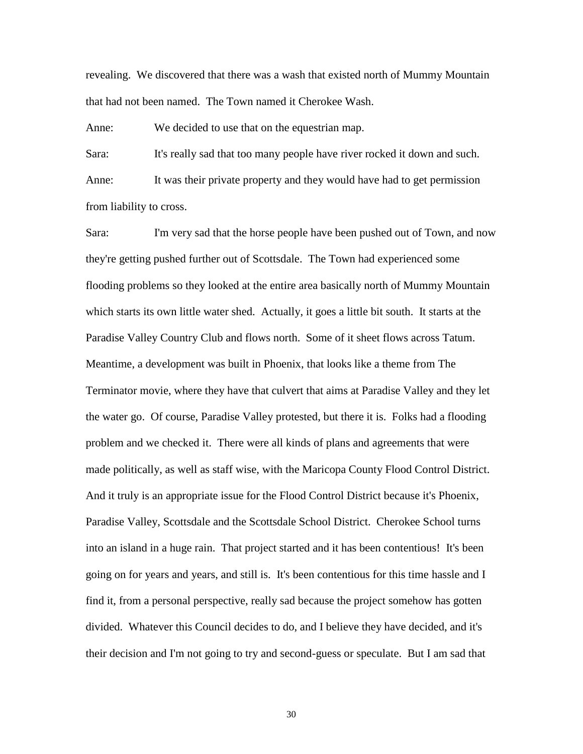revealing. We discovered that there was a wash that existed north of Mummy Mountain that had not been named. The Town named it Cherokee Wash.

Anne: We decided to use that on the equestrian map.

Sara: It's really sad that too many people have river rocked it down and such. Anne: It was their private property and they would have had to get permission from liability to cross.

Sara: I'm very sad that the horse people have been pushed out of Town, and now they're getting pushed further out of Scottsdale. The Town had experienced some flooding problems so they looked at the entire area basically north of Mummy Mountain which starts its own little water shed. Actually, it goes a little bit south. It starts at the Paradise Valley Country Club and flows north. Some of it sheet flows across Tatum. Meantime, a development was built in Phoenix, that looks like a theme from The Terminator movie, where they have that culvert that aims at Paradise Valley and they let the water go. Of course, Paradise Valley protested, but there it is. Folks had a flooding problem and we checked it. There were all kinds of plans and agreements that were made politically, as well as staff wise, with the Maricopa County Flood Control District. And it truly is an appropriate issue for the Flood Control District because it's Phoenix, Paradise Valley, Scottsdale and the Scottsdale School District. Cherokee School turns into an island in a huge rain. That project started and it has been contentious! It's been going on for years and years, and still is. It's been contentious for this time hassle and I find it, from a personal perspective, really sad because the project somehow has gotten divided. Whatever this Council decides to do, and I believe they have decided, and it's their decision and I'm not going to try and second-guess or speculate. But I am sad that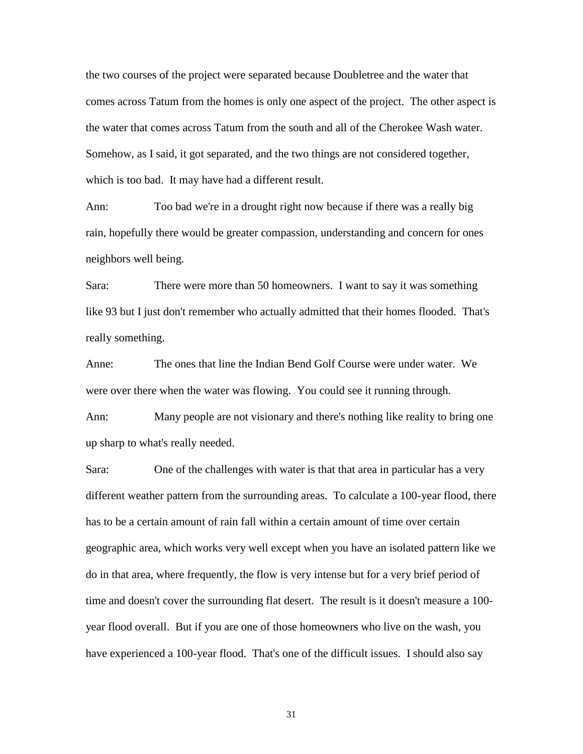the two courses of the project were separated because Doubletree and the water that comes across Tatum from the homes is only one aspect of the project. The other aspect is the water that comes across Tatum from the south and all of the Cherokee Wash water. Somehow, as I said, it got separated, and the two things are not considered together, which is too bad. It may have had a different result.

Ann: Too bad we're in a drought right now because if there was a really big rain, hopefully there would be greater compassion, understanding and concern for ones neighbors well being.

Sara: There were more than 50 homeowners. I want to say it was something like 93 but I just don't remember who actually admitted that their homes flooded. That's really something.

Anne: The ones that line the Indian Bend Golf Course were under water. We were over there when the water was flowing. You could see it running through.

Ann: Many people are not visionary and there's nothing like reality to bring one up sharp to what's really needed.

Sara: One of the challenges with water is that that area in particular has a very different weather pattern from the surrounding areas. To calculate a 100-year flood, there has to be a certain amount of rain fall within a certain amount of time over certain geographic area, which works very well except when you have an isolated pattern like we do in that area, where frequently, the flow is very intense but for a very brief period of time and doesn't cover the surrounding flat desert. The result is it doesn't measure a 100 year flood overall. But if you are one of those homeowners who live on the wash, you have experienced a 100-year flood. That's one of the difficult issues. I should also say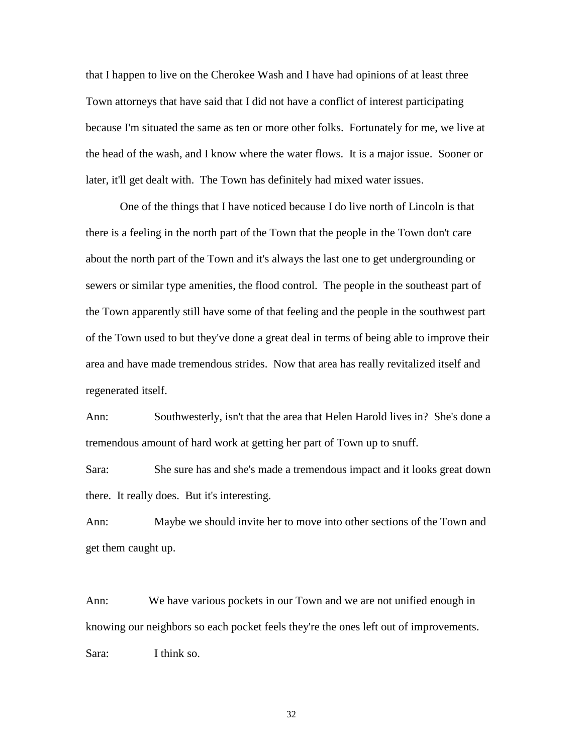that I happen to live on the Cherokee Wash and I have had opinions of at least three Town attorneys that have said that I did not have a conflict of interest participating because I'm situated the same as ten or more other folks. Fortunately for me, we live at the head of the wash, and I know where the water flows. It is a major issue. Sooner or later, it'll get dealt with. The Town has definitely had mixed water issues.

One of the things that I have noticed because I do live north of Lincoln is that there is a feeling in the north part of the Town that the people in the Town don't care about the north part of the Town and it's always the last one to get undergrounding or sewers or similar type amenities, the flood control. The people in the southeast part of the Town apparently still have some of that feeling and the people in the southwest part of the Town used to but they've done a great deal in terms of being able to improve their area and have made tremendous strides. Now that area has really revitalized itself and regenerated itself.

Ann: Southwesterly, isn't that the area that Helen Harold lives in? She's done a tremendous amount of hard work at getting her part of Town up to snuff.

Sara: She sure has and she's made a tremendous impact and it looks great down there. It really does. But it's interesting.

Ann: Maybe we should invite her to move into other sections of the Town and get them caught up.

Ann: We have various pockets in our Town and we are not unified enough in knowing our neighbors so each pocket feels they're the ones left out of improvements. Sara: I think so.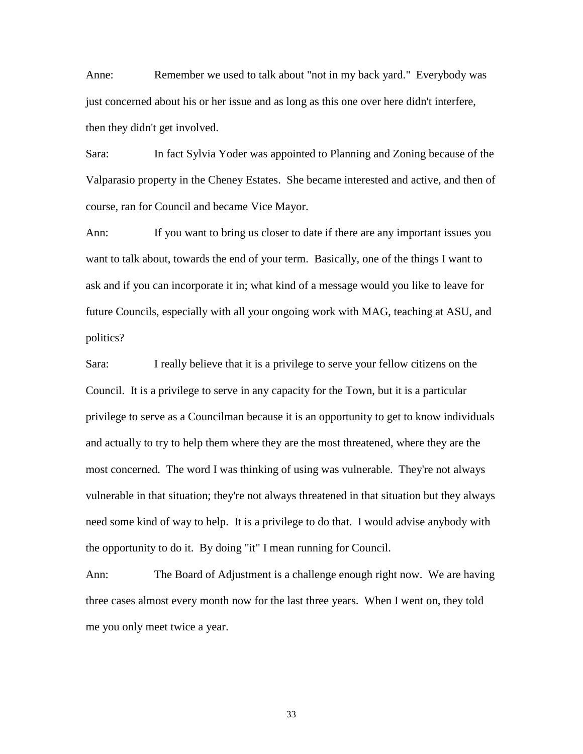Anne: Remember we used to talk about "not in my back yard." Everybody was just concerned about his or her issue and as long as this one over here didn't interfere, then they didn't get involved.

Sara: In fact Sylvia Yoder was appointed to Planning and Zoning because of the Valparasio property in the Cheney Estates. She became interested and active, and then of course, ran for Council and became Vice Mayor.

Ann: If you want to bring us closer to date if there are any important issues you want to talk about, towards the end of your term. Basically, one of the things I want to ask and if you can incorporate it in; what kind of a message would you like to leave for future Councils, especially with all your ongoing work with MAG, teaching at ASU, and politics?

Sara: I really believe that it is a privilege to serve your fellow citizens on the Council. It is a privilege to serve in any capacity for the Town, but it is a particular privilege to serve as a Councilman because it is an opportunity to get to know individuals and actually to try to help them where they are the most threatened, where they are the most concerned. The word I was thinking of using was vulnerable. They're not always vulnerable in that situation; they're not always threatened in that situation but they always need some kind of way to help. It is a privilege to do that. I would advise anybody with the opportunity to do it. By doing "it" I mean running for Council.

Ann: The Board of Adjustment is a challenge enough right now. We are having three cases almost every month now for the last three years. When I went on, they told me you only meet twice a year.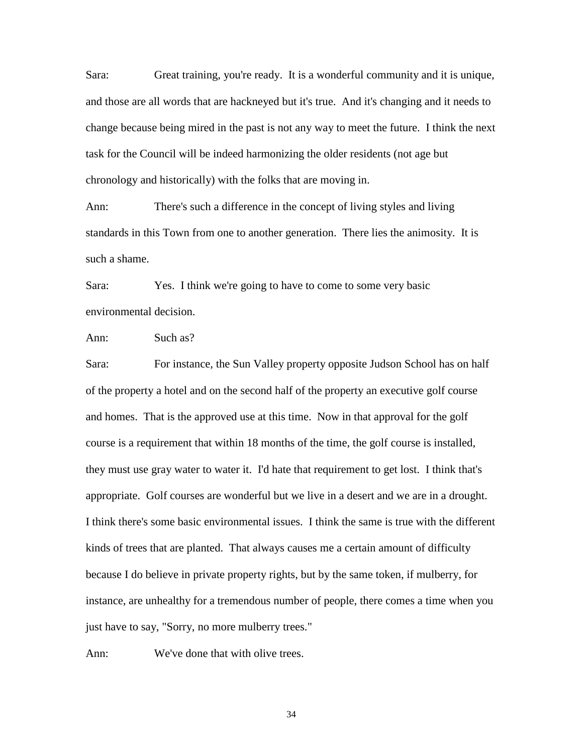Sara: Great training, you're ready. It is a wonderful community and it is unique, and those are all words that are hackneyed but it's true. And it's changing and it needs to change because being mired in the past is not any way to meet the future. I think the next task for the Council will be indeed harmonizing the older residents (not age but chronology and historically) with the folks that are moving in.

Ann: There's such a difference in the concept of living styles and living standards in this Town from one to another generation. There lies the animosity. It is such a shame.

Sara: Yes. I think we're going to have to come to some very basic environmental decision.

Ann: Such as?

Sara: For instance, the Sun Valley property opposite Judson School has on half of the property a hotel and on the second half of the property an executive golf course and homes. That is the approved use at this time. Now in that approval for the golf course is a requirement that within 18 months of the time, the golf course is installed, they must use gray water to water it. I'd hate that requirement to get lost. I think that's appropriate. Golf courses are wonderful but we live in a desert and we are in a drought. I think there's some basic environmental issues. I think the same is true with the different kinds of trees that are planted. That always causes me a certain amount of difficulty because I do believe in private property rights, but by the same token, if mulberry, for instance, are unhealthy for a tremendous number of people, there comes a time when you just have to say, "Sorry, no more mulberry trees."

Ann: We've done that with olive trees.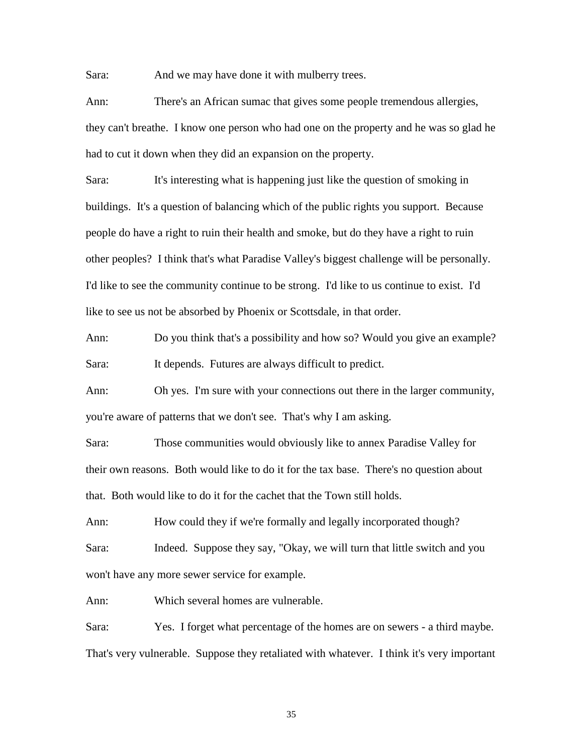Sara: And we may have done it with mulberry trees.

Ann: There's an African sumac that gives some people tremendous allergies, they can't breathe. I know one person who had one on the property and he was so glad he had to cut it down when they did an expansion on the property.

Sara: It's interesting what is happening just like the question of smoking in buildings. It's a question of balancing which of the public rights you support. Because people do have a right to ruin their health and smoke, but do they have a right to ruin other peoples? I think that's what Paradise Valley's biggest challenge will be personally. I'd like to see the community continue to be strong. I'd like to us continue to exist. I'd like to see us not be absorbed by Phoenix or Scottsdale, in that order.

Ann: Do you think that's a possibility and how so? Would you give an example? Sara: It depends. Futures are always difficult to predict.

Ann: Oh yes. I'm sure with your connections out there in the larger community, you're aware of patterns that we don't see. That's why I am asking.

Sara: Those communities would obviously like to annex Paradise Valley for their own reasons. Both would like to do it for the tax base. There's no question about that. Both would like to do it for the cachet that the Town still holds.

Ann: How could they if we're formally and legally incorporated though? Sara: Indeed. Suppose they say, "Okay, we will turn that little switch and you won't have any more sewer service for example.

Ann: Which several homes are vulnerable.

Sara: Yes. I forget what percentage of the homes are on sewers - a third maybe. That's very vulnerable. Suppose they retaliated with whatever. I think it's very important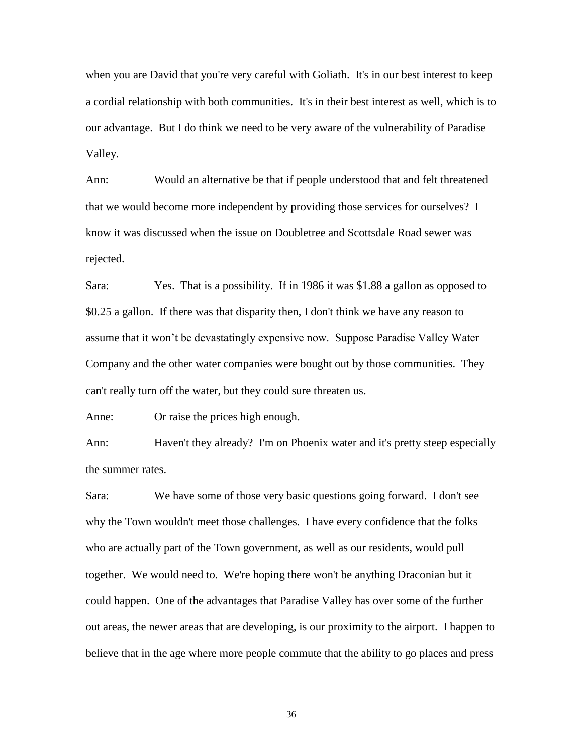when you are David that you're very careful with Goliath. It's in our best interest to keep a cordial relationship with both communities. It's in their best interest as well, which is to our advantage. But I do think we need to be very aware of the vulnerability of Paradise Valley.

Ann: Would an alternative be that if people understood that and felt threatened that we would become more independent by providing those services for ourselves? I know it was discussed when the issue on Doubletree and Scottsdale Road sewer was rejected.

Sara: Yes. That is a possibility. If in 1986 it was \$1.88 a gallon as opposed to \$0.25 a gallon. If there was that disparity then, I don't think we have any reason to assume that it won't be devastatingly expensive now. Suppose Paradise Valley Water Company and the other water companies were bought out by those communities. They can't really turn off the water, but they could sure threaten us.

Anne: Or raise the prices high enough.

Ann: Haven't they already? I'm on Phoenix water and it's pretty steep especially the summer rates.

Sara: We have some of those very basic questions going forward. I don't see why the Town wouldn't meet those challenges. I have every confidence that the folks who are actually part of the Town government, as well as our residents, would pull together. We would need to. We're hoping there won't be anything Draconian but it could happen. One of the advantages that Paradise Valley has over some of the further out areas, the newer areas that are developing, is our proximity to the airport. I happen to believe that in the age where more people commute that the ability to go places and press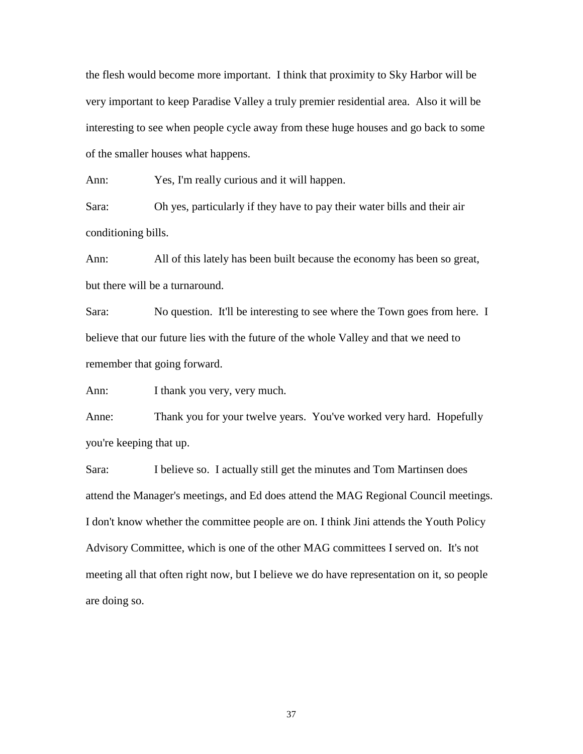the flesh would become more important. I think that proximity to Sky Harbor will be very important to keep Paradise Valley a truly premier residential area. Also it will be interesting to see when people cycle away from these huge houses and go back to some of the smaller houses what happens.

Ann: Yes, I'm really curious and it will happen.

Sara: Oh yes, particularly if they have to pay their water bills and their air conditioning bills.

Ann: All of this lately has been built because the economy has been so great, but there will be a turnaround.

Sara: No question. It'll be interesting to see where the Town goes from here. I believe that our future lies with the future of the whole Valley and that we need to remember that going forward.

Ann: I thank you very, very much.

Anne: Thank you for your twelve years. You've worked very hard. Hopefully you're keeping that up.

Sara: I believe so. I actually still get the minutes and Tom Martinsen does attend the Manager's meetings, and Ed does attend the MAG Regional Council meetings. I don't know whether the committee people are on. I think Jini attends the Youth Policy Advisory Committee, which is one of the other MAG committees I served on. It's not meeting all that often right now, but I believe we do have representation on it, so people are doing so.